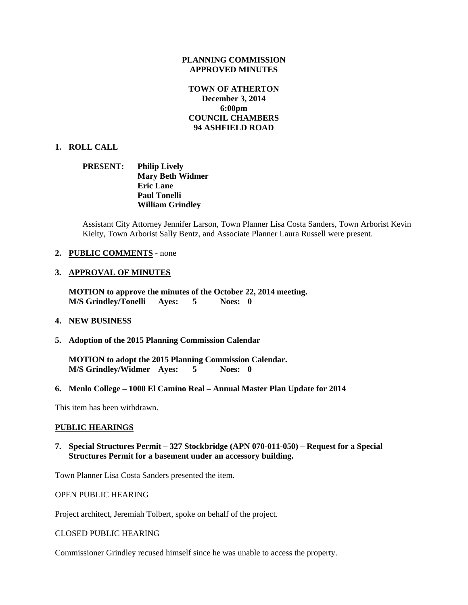### **PLANNING COMMISSION APPROVED MINUTES**

# **TOWN OF ATHERTON December 3, 2014 6:00pm COUNCIL CHAMBERS 94 ASHFIELD ROAD**

### **1. ROLL CALL**

**PRESENT: Philip Lively Mary Beth Widmer Eric Lane Paul Tonelli William Grindley** 

Assistant City Attorney Jennifer Larson, Town Planner Lisa Costa Sanders, Town Arborist Kevin Kielty, Town Arborist Sally Bentz, and Associate Planner Laura Russell were present.

### **2. PUBLIC COMMENTS** - none

### **3. APPROVAL OF MINUTES**

**MOTION to approve the minutes of the October 22, 2014 meeting. M/S Grindley/Tonelli Ayes: 5 Noes: 0** 

### **4. NEW BUSINESS**

**5. Adoption of the 2015 Planning Commission Calendar** 

**MOTION to adopt the 2015 Planning Commission Calendar. M/S Grindley/Widmer Ayes: 5 Noes: 0** 

**6. Menlo College – 1000 El Camino Real – Annual Master Plan Update for 2014** 

This item has been withdrawn.

#### **PUBLIC HEARINGS**

# **7. Special Structures Permit – 327 Stockbridge (APN 070-011-050) – Request for a Special Structures Permit for a basement under an accessory building.**

Town Planner Lisa Costa Sanders presented the item.

OPEN PUBLIC HEARING

Project architect, Jeremiah Tolbert, spoke on behalf of the project.

CLOSED PUBLIC HEARING

Commissioner Grindley recused himself since he was unable to access the property.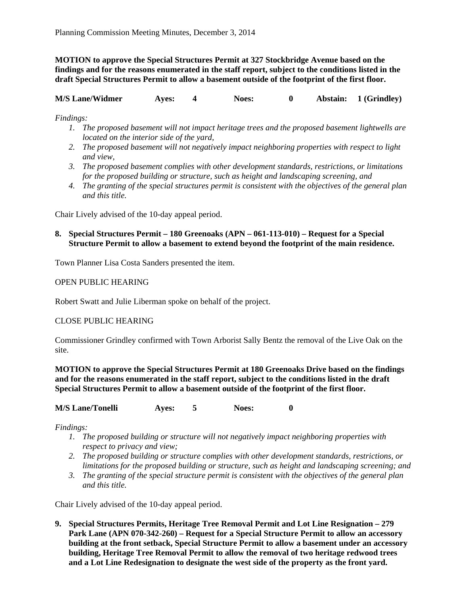**MOTION to approve the Special Structures Permit at 327 Stockbridge Avenue based on the findings and for the reasons enumerated in the staff report, subject to the conditions listed in the draft Special Structures Permit to allow a basement outside of the footprint of the first floor.** 

**M/S Lane/Widmer Ayes: 4 Noes: 0 Abstain: 1 (Grindley)** 

*Findings:* 

- *1. The proposed basement will not impact heritage trees and the proposed basement lightwells are located on the interior side of the yard,*
- *2. The proposed basement will not negatively impact neighboring properties with respect to light and view,*
- *3. The proposed basement complies with other development standards, restrictions, or limitations for the proposed building or structure, such as height and landscaping screening, and*
- *4. The granting of the special structures permit is consistent with the objectives of the general plan and this title.*

Chair Lively advised of the 10-day appeal period.

# **8. Special Structures Permit – 180 Greenoaks (APN – 061-113-010) – Request for a Special Structure Permit to allow a basement to extend beyond the footprint of the main residence.**

Town Planner Lisa Costa Sanders presented the item.

OPEN PUBLIC HEARING

Robert Swatt and Julie Liberman spoke on behalf of the project.

# CLOSE PUBLIC HEARING

Commissioner Grindley confirmed with Town Arborist Sally Bentz the removal of the Live Oak on the site.

**MOTION to approve the Special Structures Permit at 180 Greenoaks Drive based on the findings and for the reasons enumerated in the staff report, subject to the conditions listed in the draft Special Structures Permit to allow a basement outside of the footprint of the first floor.** 

| <b>M/S Lane/Tonelli</b> | <b>Aves:</b> |  | <b>Noes:</b> |  |
|-------------------------|--------------|--|--------------|--|
|-------------------------|--------------|--|--------------|--|

*Findings:* 

- *1. The proposed building or structure will not negatively impact neighboring properties with respect to privacy and view;*
- *2. The proposed building or structure complies with other development standards, restrictions, or limitations for the proposed building or structure, such as height and landscaping screening; and*
- *3. The granting of the special structure permit is consistent with the objectives of the general plan and this title.*

Chair Lively advised of the 10-day appeal period.

**9. Special Structures Permits, Heritage Tree Removal Permit and Lot Line Resignation – 279 Park Lane (APN 070-342-260) – Request for a Special Structure Permit to allow an accessory building at the front setback, Special Structure Permit to allow a basement under an accessory building, Heritage Tree Removal Permit to allow the removal of two heritage redwood trees and a Lot Line Redesignation to designate the west side of the property as the front yard.**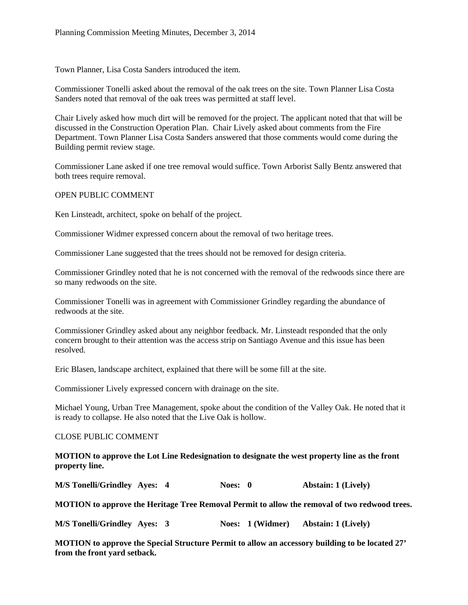Town Planner, Lisa Costa Sanders introduced the item.

Commissioner Tonelli asked about the removal of the oak trees on the site. Town Planner Lisa Costa Sanders noted that removal of the oak trees was permitted at staff level.

Chair Lively asked how much dirt will be removed for the project. The applicant noted that that will be discussed in the Construction Operation Plan. Chair Lively asked about comments from the Fire Department. Town Planner Lisa Costa Sanders answered that those comments would come during the Building permit review stage.

Commissioner Lane asked if one tree removal would suffice. Town Arborist Sally Bentz answered that both trees require removal.

### OPEN PUBLIC COMMENT

Ken Linsteadt, architect, spoke on behalf of the project.

Commissioner Widmer expressed concern about the removal of two heritage trees.

Commissioner Lane suggested that the trees should not be removed for design criteria.

Commissioner Grindley noted that he is not concerned with the removal of the redwoods since there are so many redwoods on the site.

Commissioner Tonelli was in agreement with Commissioner Grindley regarding the abundance of redwoods at the site.

Commissioner Grindley asked about any neighbor feedback. Mr. Linsteadt responded that the only concern brought to their attention was the access strip on Santiago Avenue and this issue has been resolved.

Eric Blasen, landscape architect, explained that there will be some fill at the site.

Commissioner Lively expressed concern with drainage on the site.

Michael Young, Urban Tree Management, spoke about the condition of the Valley Oak. He noted that it is ready to collapse. He also noted that the Live Oak is hollow.

### CLOSE PUBLIC COMMENT

**MOTION to approve the Lot Line Redesignation to designate the west property line as the front property line.** 

**M/S Tonelli/Grindley Ayes: 4 Noes: 0 Abstain: 1 (Lively)** 

**MOTION to approve the Heritage Tree Removal Permit to allow the removal of two redwood trees.** 

**M/S Tonelli/Grindley Ayes: 3 Noes: 1 (Widmer) Abstain: 1 (Lively)** 

**MOTION to approve the Special Structure Permit to allow an accessory building to be located 27' from the front yard setback.**